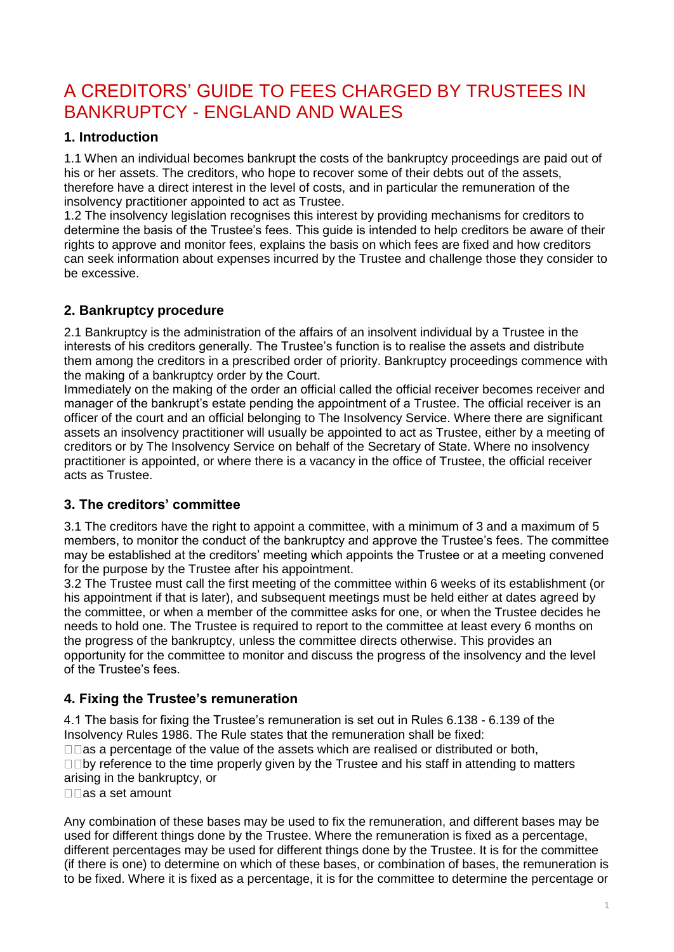# A CREDITORS' GUIDE TO FEES CHARGED BY TRUSTEES IN BANKRUPTCY - ENGLAND AND WALES

## **1. Introduction**

1.1 When an individual becomes bankrupt the costs of the bankruptcy proceedings are paid out of his or her assets. The creditors, who hope to recover some of their debts out of the assets, therefore have a direct interest in the level of costs, and in particular the remuneration of the insolvency practitioner appointed to act as Trustee.

1.2 The insolvency legislation recognises this interest by providing mechanisms for creditors to determine the basis of the Trustee's fees. This guide is intended to help creditors be aware of their rights to approve and monitor fees, explains the basis on which fees are fixed and how creditors can seek information about expenses incurred by the Trustee and challenge those they consider to be excessive.

# **2. Bankruptcy procedure**

2.1 Bankruptcy is the administration of the affairs of an insolvent individual by a Trustee in the interests of his creditors generally. The Trustee's function is to realise the assets and distribute them among the creditors in a prescribed order of priority. Bankruptcy proceedings commence with the making of a bankruptcy order by the Court.

Immediately on the making of the order an official called the official receiver becomes receiver and manager of the bankrupt's estate pending the appointment of a Trustee. The official receiver is an officer of the court and an official belonging to The Insolvency Service. Where there are significant assets an insolvency practitioner will usually be appointed to act as Trustee, either by a meeting of creditors or by The Insolvency Service on behalf of the Secretary of State. Where no insolvency practitioner is appointed, or where there is a vacancy in the office of Trustee, the official receiver acts as Trustee.

# **3. The creditors' committee**

3.1 The creditors have the right to appoint a committee, with a minimum of 3 and a maximum of 5 members, to monitor the conduct of the bankruptcy and approve the Trustee's fees. The committee may be established at the creditors' meeting which appoints the Trustee or at a meeting convened for the purpose by the Trustee after his appointment.

3.2 The Trustee must call the first meeting of the committee within 6 weeks of its establishment (or his appointment if that is later), and subsequent meetings must be held either at dates agreed by the committee, or when a member of the committee asks for one, or when the Trustee decides he needs to hold one. The Trustee is required to report to the committee at least every 6 months on the progress of the bankruptcy, unless the committee directs otherwise. This provides an opportunity for the committee to monitor and discuss the progress of the insolvency and the level of the Trustee's fees.

# **4. Fixing the Trustee's remuneration**

4.1 The basis for fixing the Trustee's remuneration is set out in Rules 6.138 - 6.139 of the Insolvency Rules 1986. The Rule states that the remuneration shall be fixed:  $\Box$  as a percentage of the value of the assets which are realised or distributed or both,  $\square$  Dy reference to the time properly given by the Trustee and his staff in attending to matters arising in the bankruptcy, or  $\Box$ as a set amount

Any combination of these bases may be used to fix the remuneration, and different bases may be used for different things done by the Trustee. Where the remuneration is fixed as a percentage, different percentages may be used for different things done by the Trustee. It is for the committee (if there is one) to determine on which of these bases, or combination of bases, the remuneration is to be fixed. Where it is fixed as a percentage, it is for the committee to determine the percentage or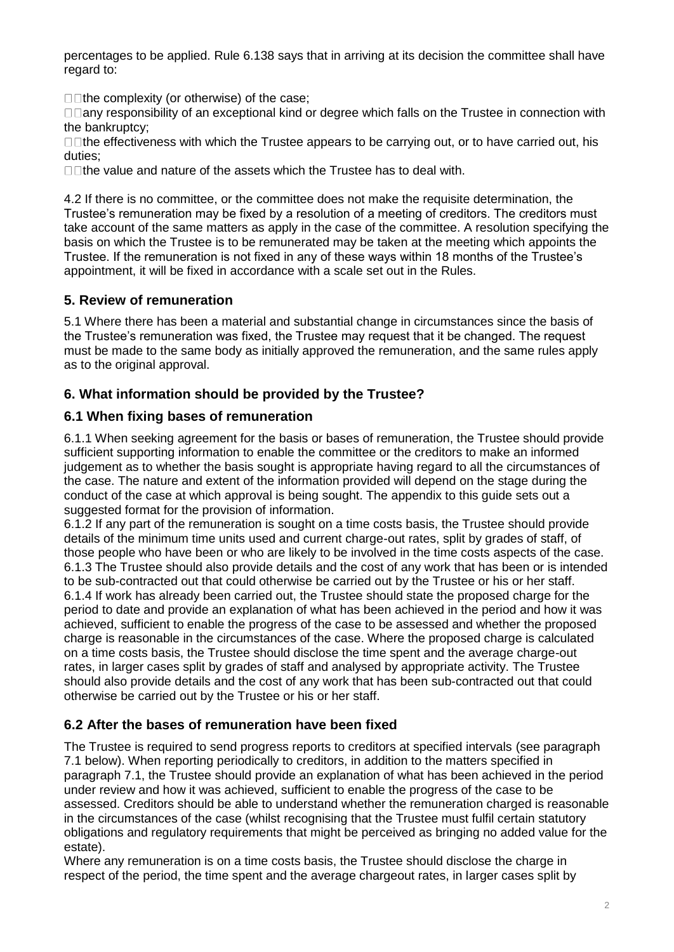percentages to be applied. Rule 6.138 says that in arriving at its decision the committee shall have regard to:

 $\Box$  The complexity (or otherwise) of the case;

□□any responsibility of an exceptional kind or degree which falls on the Trustee in connection with the bankruptcy;

□□the effectiveness with which the Trustee appears to be carrying out, or to have carried out, his duties;

 $\Box$ The value and nature of the assets which the Trustee has to deal with.

4.2 If there is no committee, or the committee does not make the requisite determination, the Trustee's remuneration may be fixed by a resolution of a meeting of creditors. The creditors must take account of the same matters as apply in the case of the committee. A resolution specifying the basis on which the Trustee is to be remunerated may be taken at the meeting which appoints the Trustee. If the remuneration is not fixed in any of these ways within 18 months of the Trustee's appointment, it will be fixed in accordance with a scale set out in the Rules.

## **5. Review of remuneration**

5.1 Where there has been a material and substantial change in circumstances since the basis of the Trustee's remuneration was fixed, the Trustee may request that it be changed. The request must be made to the same body as initially approved the remuneration, and the same rules apply as to the original approval.

## **6. What information should be provided by the Trustee?**

## **6.1 When fixing bases of remuneration**

6.1.1 When seeking agreement for the basis or bases of remuneration, the Trustee should provide sufficient supporting information to enable the committee or the creditors to make an informed judgement as to whether the basis sought is appropriate having regard to all the circumstances of the case. The nature and extent of the information provided will depend on the stage during the conduct of the case at which approval is being sought. The appendix to this guide sets out a suggested format for the provision of information.

6.1.2 If any part of the remuneration is sought on a time costs basis, the Trustee should provide details of the minimum time units used and current charge-out rates, split by grades of staff, of those people who have been or who are likely to be involved in the time costs aspects of the case. 6.1.3 The Trustee should also provide details and the cost of any work that has been or is intended to be sub-contracted out that could otherwise be carried out by the Trustee or his or her staff. 6.1.4 If work has already been carried out, the Trustee should state the proposed charge for the period to date and provide an explanation of what has been achieved in the period and how it was achieved, sufficient to enable the progress of the case to be assessed and whether the proposed charge is reasonable in the circumstances of the case. Where the proposed charge is calculated on a time costs basis, the Trustee should disclose the time spent and the average charge-out rates, in larger cases split by grades of staff and analysed by appropriate activity. The Trustee should also provide details and the cost of any work that has been sub-contracted out that could otherwise be carried out by the Trustee or his or her staff.

# **6.2 After the bases of remuneration have been fixed**

The Trustee is required to send progress reports to creditors at specified intervals (see paragraph 7.1 below). When reporting periodically to creditors, in addition to the matters specified in paragraph 7.1, the Trustee should provide an explanation of what has been achieved in the period under review and how it was achieved, sufficient to enable the progress of the case to be assessed. Creditors should be able to understand whether the remuneration charged is reasonable in the circumstances of the case (whilst recognising that the Trustee must fulfil certain statutory obligations and regulatory requirements that might be perceived as bringing no added value for the estate).

Where any remuneration is on a time costs basis, the Trustee should disclose the charge in respect of the period, the time spent and the average chargeout rates, in larger cases split by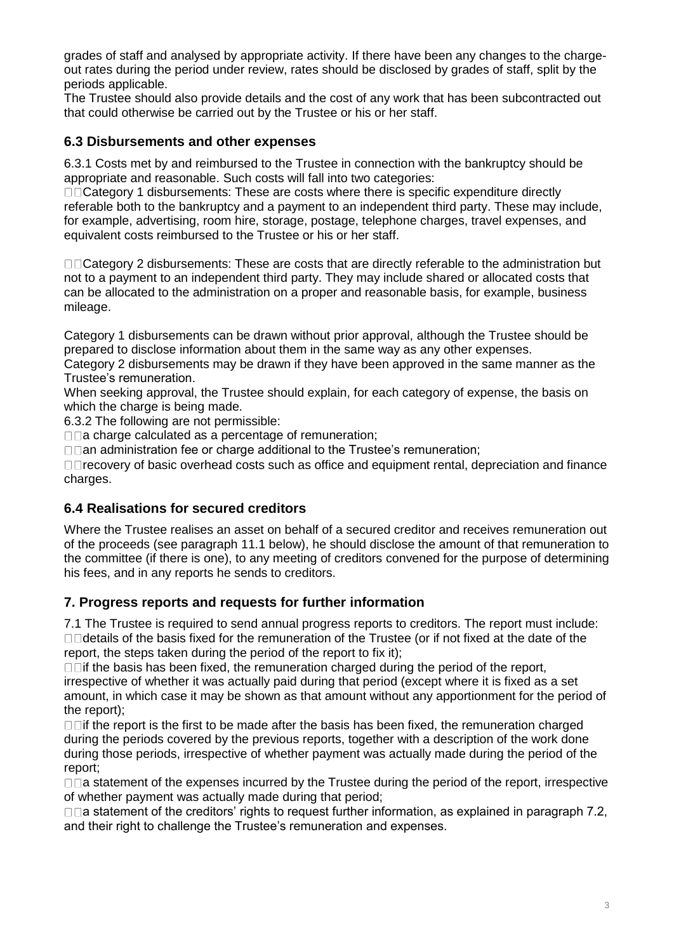grades of staff and analysed by appropriate activity. If there have been any changes to the chargeout rates during the period under review, rates should be disclosed by grades of staff, split by the periods applicable.

The Trustee should also provide details and the cost of any work that has been subcontracted out that could otherwise be carried out by the Trustee or his or her staff.

#### **6.3 Disbursements and other expenses**

6.3.1 Costs met by and reimbursed to the Trustee in connection with the bankruptcy should be appropriate and reasonable. Such costs will fall into two categories:

 $\square$  $\square$ Category 1 disbursements: These are costs where there is specific expenditure directly referable both to the bankruptcy and a payment to an independent third party. These may include, for example, advertising, room hire, storage, postage, telephone charges, travel expenses, and equivalent costs reimbursed to the Trustee or his or her staff.

□□Category 2 disbursements: These are costs that are directly referable to the administration but not to a payment to an independent third party. They may include shared or allocated costs that can be allocated to the administration on a proper and reasonable basis, for example, business mileage.

Category 1 disbursements can be drawn without prior approval, although the Trustee should be prepared to disclose information about them in the same way as any other expenses.

Category 2 disbursements may be drawn if they have been approved in the same manner as the Trustee's remuneration.

When seeking approval, the Trustee should explain, for each category of expense, the basis on which the charge is being made.

6.3.2 The following are not permissible:

 $\square$  charge calculated as a percentage of remuneration;

 $\Box$  an administration fee or charge additional to the Trustee's remuneration;

□□recovery of basic overhead costs such as office and equipment rental, depreciation and finance charges.

#### **6.4 Realisations for secured creditors**

Where the Trustee realises an asset on behalf of a secured creditor and receives remuneration out of the proceeds (see paragraph 11.1 below), he should disclose the amount of that remuneration to the committee (if there is one), to any meeting of creditors convened for the purpose of determining his fees, and in any reports he sends to creditors.

#### **7. Progress reports and requests for further information**

7.1 The Trustee is required to send annual progress reports to creditors. The report must include:  $\Box$  details of the basis fixed for the remuneration of the Trustee (or if not fixed at the date of the report, the steps taken during the period of the report to fix it);

 $\Box$  if the basis has been fixed, the remuneration charged during the period of the report, irrespective of whether it was actually paid during that period (except where it is fixed as a set amount, in which case it may be shown as that amount without any apportionment for the period of the report);

 $\Box$  if the report is the first to be made after the basis has been fixed, the remuneration charged during the periods covered by the previous reports, together with a description of the work done during those periods, irrespective of whether payment was actually made during the period of the report;

 $\Box$  a statement of the expenses incurred by the Trustee during the period of the report, irrespective of whether payment was actually made during that period;

 $\Box$ a statement of the creditors' rights to request further information, as explained in paragraph 7.2, and their right to challenge the Trustee's remuneration and expenses.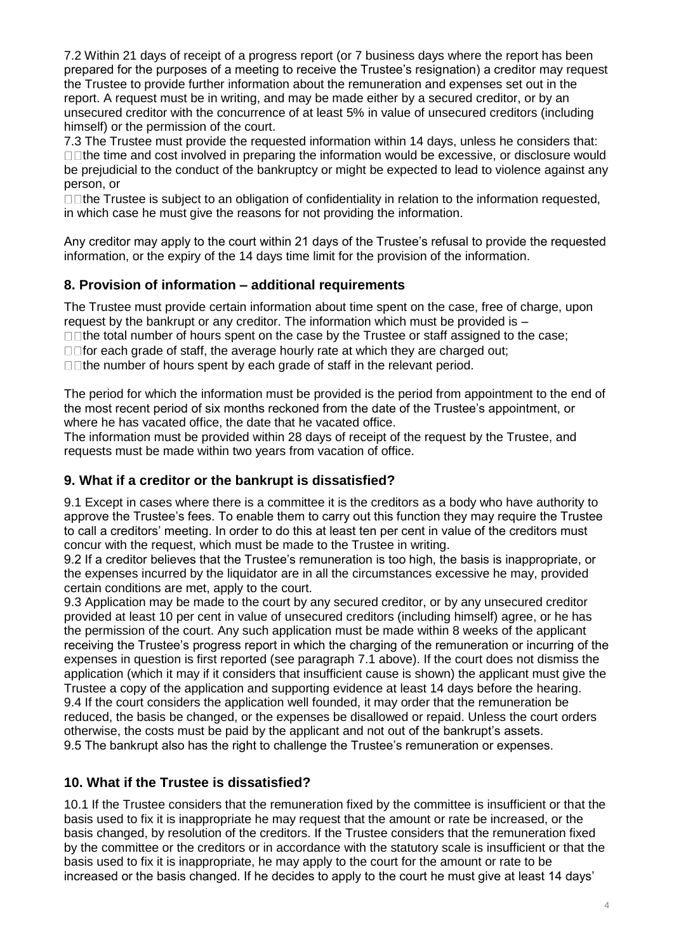7.2 Within 21 days of receipt of a progress report (or 7 business days where the report has been prepared for the purposes of a meeting to receive the Trustee's resignation) a creditor may request the Trustee to provide further information about the remuneration and expenses set out in the report. A request must be in writing, and may be made either by a secured creditor, or by an unsecured creditor with the concurrence of at least 5% in value of unsecured creditors (including himself) or the permission of the court.

7.3 The Trustee must provide the requested information within 14 days, unless he considers that:  $\Box$  The time and cost involved in preparing the information would be excessive, or disclosure would be prejudicial to the conduct of the bankruptcy or might be expected to lead to violence against any person, or

 $\Box$  The Trustee is subject to an obligation of confidentiality in relation to the information requested, in which case he must give the reasons for not providing the information.

Any creditor may apply to the court within 21 days of the Trustee's refusal to provide the requested information, or the expiry of the 14 days time limit for the provision of the information.

# **8. Provision of information – additional requirements**

The Trustee must provide certain information about time spent on the case, free of charge, upon request by the bankrupt or any creditor. The information which must be provided is –

 $\Box$  The total number of hours spent on the case by the Trustee or staff assigned to the case;

 $\Box$  for each grade of staff, the average hourly rate at which they are charged out;

 $\Box$ The number of hours spent by each grade of staff in the relevant period.

The period for which the information must be provided is the period from appointment to the end of the most recent period of six months reckoned from the date of the Trustee's appointment, or where he has vacated office, the date that he vacated office.

The information must be provided within 28 days of receipt of the request by the Trustee, and requests must be made within two years from vacation of office.

#### **9. What if a creditor or the bankrupt is dissatisfied?**

9.1 Except in cases where there is a committee it is the creditors as a body who have authority to approve the Trustee's fees. To enable them to carry out this function they may require the Trustee to call a creditors' meeting. In order to do this at least ten per cent in value of the creditors must concur with the request, which must be made to the Trustee in writing.

9.2 If a creditor believes that the Trustee's remuneration is too high, the basis is inappropriate, or the expenses incurred by the liquidator are in all the circumstances excessive he may, provided certain conditions are met, apply to the court.

9.3 Application may be made to the court by any secured creditor, or by any unsecured creditor provided at least 10 per cent in value of unsecured creditors (including himself) agree, or he has the permission of the court. Any such application must be made within 8 weeks of the applicant receiving the Trustee's progress report in which the charging of the remuneration or incurring of the expenses in question is first reported (see paragraph 7.1 above). If the court does not dismiss the application (which it may if it considers that insufficient cause is shown) the applicant must give the Trustee a copy of the application and supporting evidence at least 14 days before the hearing. 9.4 If the court considers the application well founded, it may order that the remuneration be reduced, the basis be changed, or the expenses be disallowed or repaid. Unless the court orders otherwise, the costs must be paid by the applicant and not out of the bankrupt's assets. 9.5 The bankrupt also has the right to challenge the Trustee's remuneration or expenses.

# **10. What if the Trustee is dissatisfied?**

10.1 If the Trustee considers that the remuneration fixed by the committee is insufficient or that the basis used to fix it is inappropriate he may request that the amount or rate be increased, or the basis changed, by resolution of the creditors. If the Trustee considers that the remuneration fixed by the committee or the creditors or in accordance with the statutory scale is insufficient or that the basis used to fix it is inappropriate, he may apply to the court for the amount or rate to be increased or the basis changed. If he decides to apply to the court he must give at least 14 days'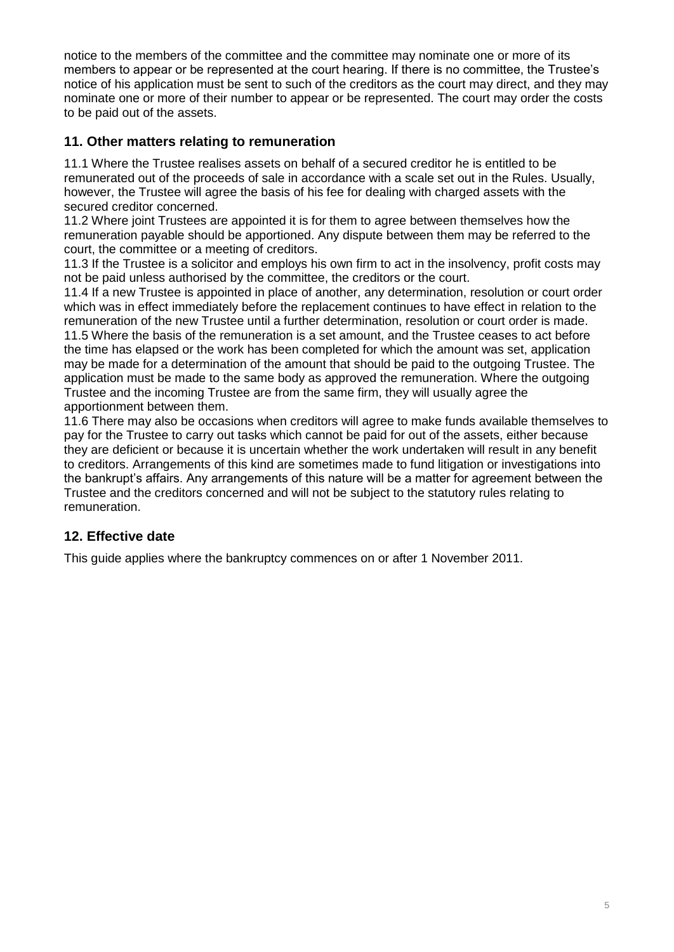notice to the members of the committee and the committee may nominate one or more of its members to appear or be represented at the court hearing. If there is no committee, the Trustee's notice of his application must be sent to such of the creditors as the court may direct, and they may nominate one or more of their number to appear or be represented. The court may order the costs to be paid out of the assets.

## **11. Other matters relating to remuneration**

11.1 Where the Trustee realises assets on behalf of a secured creditor he is entitled to be remunerated out of the proceeds of sale in accordance with a scale set out in the Rules. Usually, however, the Trustee will agree the basis of his fee for dealing with charged assets with the secured creditor concerned.

11.2 Where joint Trustees are appointed it is for them to agree between themselves how the remuneration payable should be apportioned. Any dispute between them may be referred to the court, the committee or a meeting of creditors.

11.3 If the Trustee is a solicitor and employs his own firm to act in the insolvency, profit costs may not be paid unless authorised by the committee, the creditors or the court.

11.4 If a new Trustee is appointed in place of another, any determination, resolution or court order which was in effect immediately before the replacement continues to have effect in relation to the remuneration of the new Trustee until a further determination, resolution or court order is made. 11.5 Where the basis of the remuneration is a set amount, and the Trustee ceases to act before the time has elapsed or the work has been completed for which the amount was set, application may be made for a determination of the amount that should be paid to the outgoing Trustee. The application must be made to the same body as approved the remuneration. Where the outgoing Trustee and the incoming Trustee are from the same firm, they will usually agree the apportionment between them.

11.6 There may also be occasions when creditors will agree to make funds available themselves to pay for the Trustee to carry out tasks which cannot be paid for out of the assets, either because they are deficient or because it is uncertain whether the work undertaken will result in any benefit to creditors. Arrangements of this kind are sometimes made to fund litigation or investigations into the bankrupt's affairs. Any arrangements of this nature will be a matter for agreement between the Trustee and the creditors concerned and will not be subject to the statutory rules relating to remuneration.

# **12. Effective date**

This guide applies where the bankruptcy commences on or after 1 November 2011.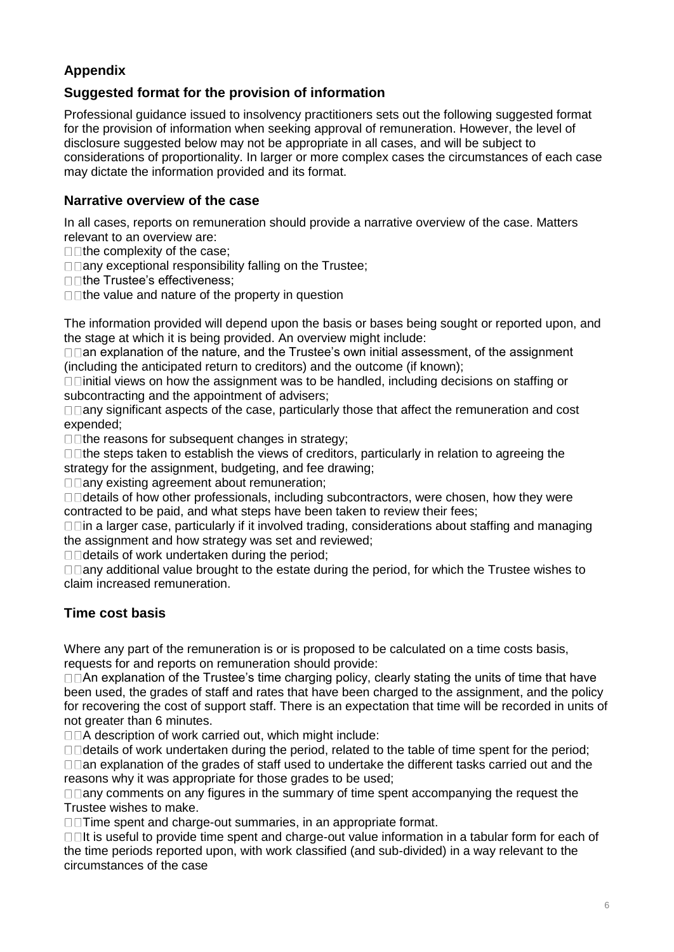# **Appendix**

# **Suggested format for the provision of information**

Professional guidance issued to insolvency practitioners sets out the following suggested format for the provision of information when seeking approval of remuneration. However, the level of disclosure suggested below may not be appropriate in all cases, and will be subject to considerations of proportionality. In larger or more complex cases the circumstances of each case may dictate the information provided and its format.

#### **Narrative overview of the case**

In all cases, reports on remuneration should provide a narrative overview of the case. Matters relevant to an overview are:

 $\square$  The complexity of the case;

 $\square$   $\square$  any exceptional responsibility falling on the Trustee;

□□the Trustee's effectiveness:

 $\square$  The value and nature of the property in question

The information provided will depend upon the basis or bases being sought or reported upon, and the stage at which it is being provided. An overview might include:

 $\Box$  an explanation of the nature, and the Trustee's own initial assessment, of the assignment (including the anticipated return to creditors) and the outcome (if known);

 $\Box$   $\Box$  initial views on how the assignment was to be handled, including decisions on staffing or subcontracting and the appointment of advisers;

 $\Box$   $\Box$  any significant aspects of the case, particularly those that affect the remuneration and cost expended;

 $\square$  The reasons for subsequent changes in strategy;

 $\Box$  The steps taken to establish the views of creditors, particularly in relation to agreeing the strategy for the assignment, budgeting, and fee drawing;

 $\square$   $\square$  any existing agreement about remuneration;

 $\square$   $\square$  details of how other professionals, including subcontractors, were chosen, how they were contracted to be paid, and what steps have been taken to review their fees;

 $\Box$   $\Box$  in a larger case, particularly if it involved trading, considerations about staffing and managing the assignment and how strategy was set and reviewed;

 $\Box$ details of work undertaken during the period:

 $\Box$   $\Box$  any additional value brought to the estate during the period, for which the Trustee wishes to claim increased remuneration.

#### **Time cost basis**

Where any part of the remuneration is or is proposed to be calculated on a time costs basis, requests for and reports on remuneration should provide:

 $\Box$   $\Box$  An explanation of the Trustee's time charging policy, clearly stating the units of time that have been used, the grades of staff and rates that have been charged to the assignment, and the policy for recovering the cost of support staff. There is an expectation that time will be recorded in units of not greater than 6 minutes.

□□A description of work carried out, which might include:

 $\Box$   $\Box$  details of work undertaken during the period, related to the table of time spent for the period;  $\Box$  an explanation of the grades of staff used to undertake the different tasks carried out and the reasons why it was appropriate for those grades to be used;

 $\Box$   $\Box$  any comments on any figures in the summary of time spent accompanying the request the Trustee wishes to make.

□□ Time spent and charge-out summaries, in an appropriate format.

 $\Box$ It is useful to provide time spent and charge-out value information in a tabular form for each of the time periods reported upon, with work classified (and sub-divided) in a way relevant to the circumstances of the case